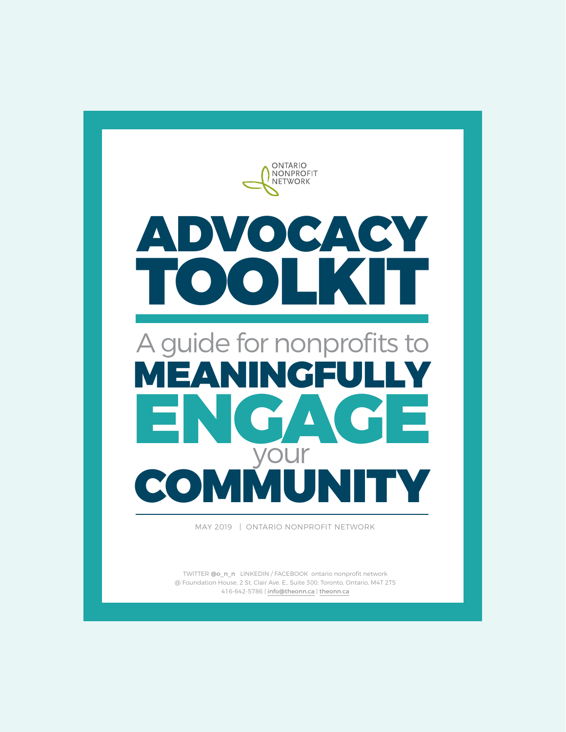

TWITTER [@o\\_n\\_n](https://twitter.com/o_n_n) LINKEDIN / FACEBOOK ontario nonprofit network @ Foundation House, 2 St. Clair Ave. E., Suite 300, Toronto, Ontario, M4T 2T5 416-642-5786 | [info@theonn.ca](mailto:info%40theonn.ca?subject=) | [theonn.ca](http://theonn.ca/)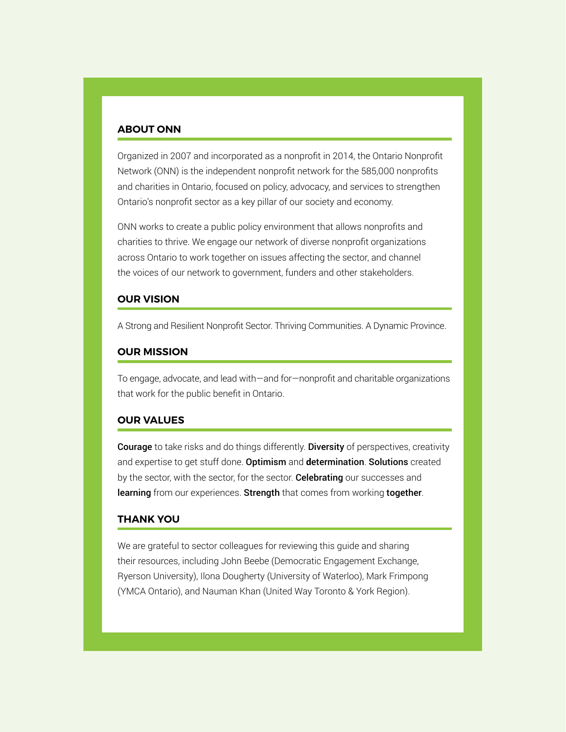#### **ABOUT ONN**

Organized in 2007 and incorporated as a nonprofit in 2014, the Ontario Nonprofit Network (ONN) is the independent nonprofit network for the 585,000 nonprofits and charities in Ontario, focused on policy, advocacy, and services to strengthen Ontario's nonprofit sector as a key pillar of our society and economy.

ONN works to create a public policy environment that allows nonprofits and charities to thrive. We engage our network of diverse nonprofit organizations across Ontario to work together on issues affecting the sector, and channel the voices of our network to government, funders and other stakeholders.

#### **OUR VISION**

A Strong and Resilient Nonprofit Sector. Thriving Communities. A Dynamic Province.

#### **OUR MISSION**

To engage, advocate, and lead with—and for—nonprofit and charitable organizations that work for the public benefit in Ontario.

#### **OUR VALUES**

Courage to take risks and do things differently. Diversity of perspectives, creativity and expertise to get stuff done. Optimism and **d**etermination. Solutions created by the sector, with the sector, for the sector. Celebrating our successes and learning from our experiences. Strength that comes from working together.

#### **THANK YOU**

We are grateful to sector colleagues for reviewing this guide and sharing their resources, including John Beebe (Democratic Engagement Exchange, Ryerson University), Ilona Dougherty (University of Waterloo), Mark Frimpong (YMCA Ontario), and Nauman Khan (United Way Toronto & York Region).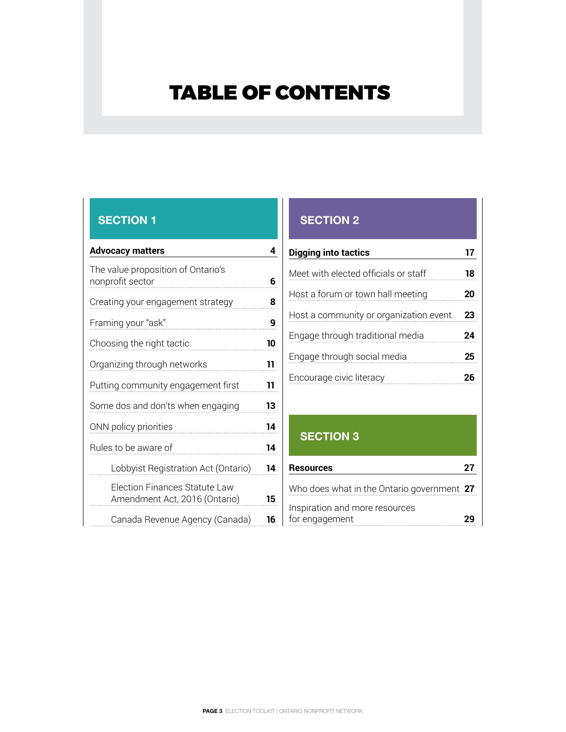# <span id="page-2-0"></span>TABLE OF CONTENTS

| <b>Advocacy matters</b>                                        | 4  |
|----------------------------------------------------------------|----|
| The value proposition of Ontario's<br>nonprofit sector         | 6  |
| Creating your engagement strategy                              | 8  |
| Framing your "ask"                                             | 9  |
| Choosing the right tactic                                      | 10 |
| Organizing through networks                                    | 11 |
| Putting community engagement first                             | 11 |
| Some dos and don'ts when engaging                              | 13 |
| ONN policy priorities                                          | 14 |
| Rules to be aware of                                           | 14 |
| Lobbyist Registration Act (Ontario)                            | 14 |
| Election Finances Statute Law<br>Amendment Act, 2016 (Ontario) | 15 |
| Canada Revenue Agency (Canada)                                 | 16 |

# **[SECTION 1](#page-3-0) [SECTION 2](#page-16-0)**

| Digging into tactics                   | 17 |
|----------------------------------------|----|
| Meet with elected officials or staff   | 18 |
| Host a forum or town hall meeting      | 20 |
| Host a community or organization event | 23 |
| Engage through traditional media       | 24 |
| Engage through social media            | 25 |
| Encourage civic literacy               | 26 |

# **[SECTION 3](#page-26-0)**

| <b>Resources</b>                                 | 27 |
|--------------------------------------------------|----|
| Who does what in the Ontario government 27       |    |
| Inspiration and more resources<br>for engagement |    |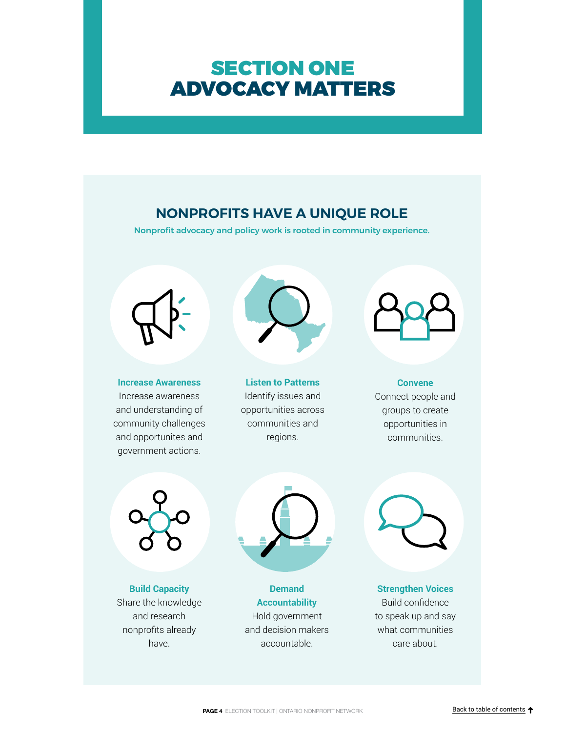# <span id="page-3-0"></span>SECTION ONE ADVOCACY MATTERS

# **NONPROFITS HAVE A UNIQUE ROLE**

Nonprofit advocacy and policy work is rooted in community experience.



**Increase Awareness** Increase awareness and understanding of community challenges and opportunites and government actions.



**Listen to Patterns** Identify issues and opportunities across communities and regions.



### **Convene** Connect people and groups to create

opportunities in communities.



**Build Capacity** Share the knowledge and research nonprofits already have.



**Demand Accountability** Hold government and decision makers accountable.



**Strengthen Voices** Build confidence to speak up and say what communities care about.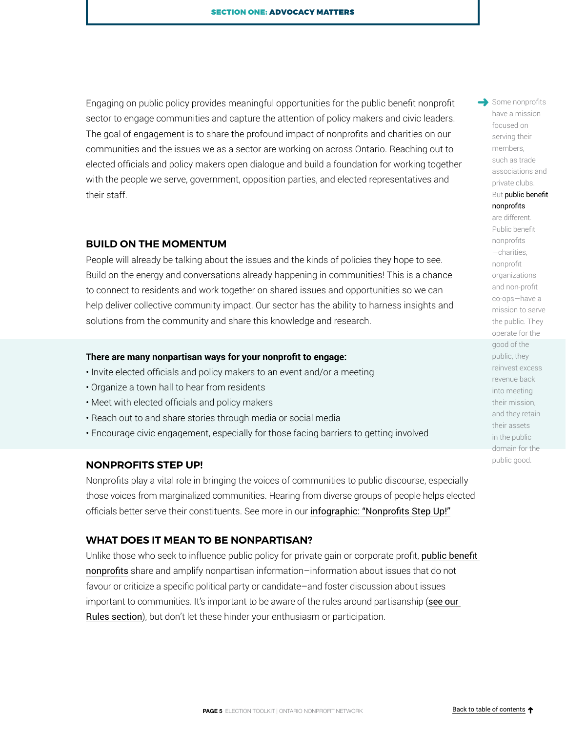Engaging on public policy provides meaningful opportunities for the public benefit nonprofit sector to engage communities and capture the attention of policy makers and civic leaders. The goal of engagement is to share the profound impact of nonprofits and charities on our communities and the issues we as a sector are working on across Ontario. Reaching out to elected officials and policy makers open dialogue and build a foundation for working together with the people we serve, government, opposition parties, and elected representatives and their staff.

#### **BUILD ON THE MOMENTUM**

People will already be talking about the issues and the kinds of policies they hope to see. Build on the energy and conversations already happening in communities! This is a chance to connect to residents and work together on shared issues and opportunities so we can help deliver collective community impact. Our sector has the ability to harness insights and solutions from the community and share this knowledge and research.

#### **There are many nonpartisan ways for your nonprofit to engage:**

- Invite elected officials and policy makers to an event and/or a meeting
- Organize a town hall to hear from residents
- Meet with elected officials and policy makers
- Reach out to and share stories through media or social media
- Encourage civic engagement, especially for those facing barriers to getting involved

#### **NONPROFITS STEP UP!**

Nonprofits play a vital role in bringing the voices of communities to public discourse, especially those voices from marginalized communities. Hearing from diverse groups of people helps elected officials better serve their constituents. See more in our [infographic: "Nonprofits Step Up!"](http://theonn.ca/wp-content/uploads/2015/01/DemocracyNonprofits.pdf)

#### **WHAT DOES IT MEAN TO BE NONPARTISAN?**

Unlike those who seek to influence public policy for private gain or corporate profit, public benefit [nonprofits](http://theonn.ca/wp-content/uploads/2017/12/Introducing-the-Public-Benefit-Nonprofit-Sector-July-2017.pdf) share and amplify nonpartisan information–information about issues that do not favour or criticize a specific political party or candidate–and foster discussion about issues important to communities. It's important to be aware of the rules around partisanship (see our [Rules section](#page-13-0)), but don't let these hinder your enthusiasm or participation.

Some nonprofits have a mission focused on serving their members, such as trade associations and private clubs.

#### But public benefit nonprofits

are different. Public benefit nonprofits —charities, nonprofit organizations and non-profit co-ops—have a mission to serve the public. They operate for the good of the public, they reinvest excess revenue back into meeting their mission, and they retain their assets in the public domain for the public good.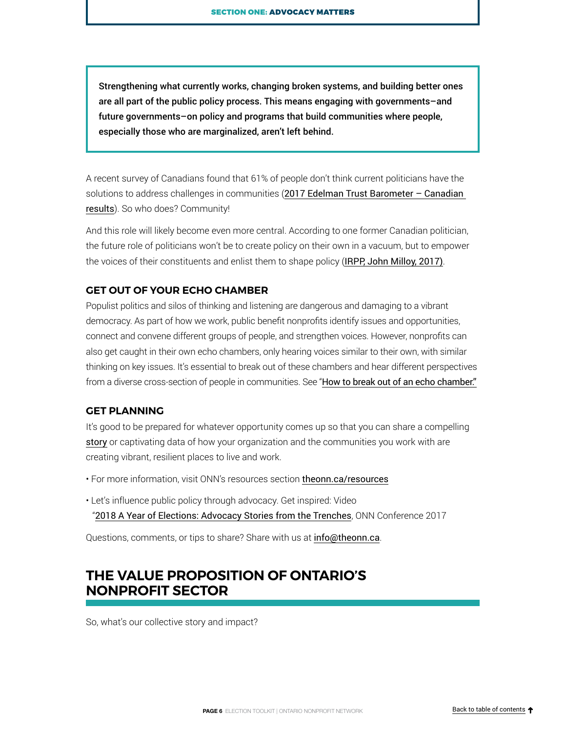<span id="page-5-0"></span>Strengthening what currently works, changing broken systems, and building better ones are all part of the public policy process. This means engaging with governments–and future governments–on policy and programs that build communities where people, especially those who are marginalized, aren't left behind.

A recent survey of Canadians found that 61% of people don't think current politicians have the solutions to address challenges in communities (2017 Edelman Trust Barometer – Canadian [results](https://www.slideshare.net/EdelmanInsights/2017-edelman-trust-barometer-canadian-results)). So who does? Community!

And this role will likely become even more central. According to one former Canadian politician, the future role of politicians won't be to create policy on their own in a vacuum, but to empower the voices of their constituents and enlist them to shape policy ([IRPP, John Milloy, 2017\)](https://policyoptions.irpp.org/magazines/march-2017/an-mps-changing-world-of-work/).

#### **GET OUT OF YOUR ECHO CHAMBER**

Populist politics and silos of thinking and listening are dangerous and damaging to a vibrant democracy. As part of how we work, public benefit nonprofits identify issues and opportunities, connect and convene different groups of people, and strengthen voices. However, nonprofits can also get caught in their own echo chambers, only hearing voices similar to their own, with similar thinking on key issues. It's essential to break out of these chambers and hear different perspectives from a diverse cross-section of people in communities. See "[How to break out of an echo chamber.](https://www.huffingtonpost.com/entry/how-to-break-out-of-an-echo-chamber-your-bubble_us_58e1be20e4b03c2b30f6a7ff)"

#### **GET PLANNING**

It's good to be prepared for whatever opportunity comes up so that you can share a compelling [story](http://cltnetwork.org/wp-content/uploads/2015/05/Storytelling-for-Advocacy-2015.pdf) or captivating data of how your organization and the communities you work with are creating vibrant, resilient places to live and work.

- For more information, visit ONN's resources section [theonn.ca/resources](http://theonn.ca/our-work/election2018/)
- Let's influence public policy through advocacy. Get inspired: Video

"[2018 A Year of Elections: Advocacy Stories from the Trenches](https://www.youtube.com/watch?v=Phrtm0iixOk), ONN Conference 2017

Questions, comments, or tips to share? Share with us at [info@theonn.ca](mailto:info@theonn.ca).

# **THE VALUE PROPOSITION OF ONTARIO'S NONPROFIT SECTOR**

So, what's our collective story and impact?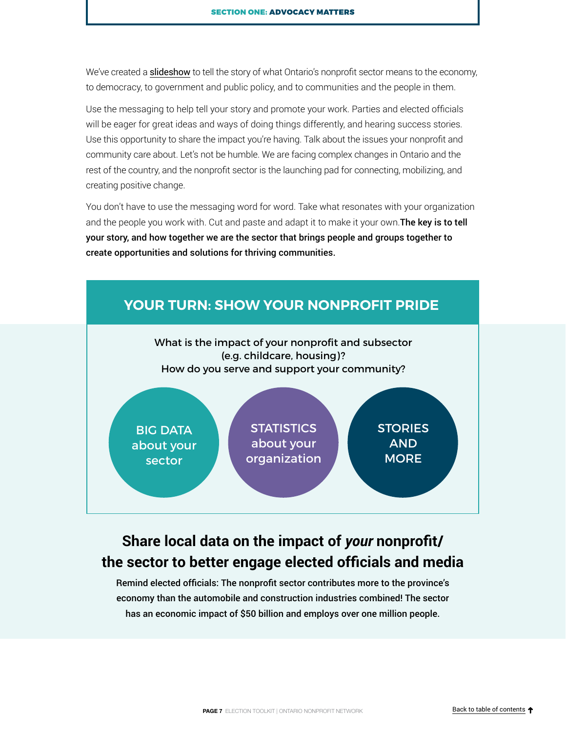<span id="page-6-0"></span>We've created a **[slideshow](https://theonn.ca/about-the-sector/)** to tell the story of what Ontario's nonprofit sector means to the economy, to democracy, to government and public policy, and to communities and the people in them.

Use the messaging to help tell your story and promote your work. Parties and elected officials will be eager for great ideas and ways of doing things differently, and hearing success stories. Use this opportunity to share the impact you're having. Talk about the issues your nonprofit and community care about. Let's not be humble. We are facing complex changes in Ontario and the rest of the country, and the nonprofit sector is the launching pad for connecting, mobilizing, and creating positive change.

You don't have to use the messaging word for word. Take what resonates with your organization and the people you work with. Cut and paste and adapt it to make it your own. The key is to tell your story, and how together we are the sector that brings people and groups together to create opportunities and solutions for thriving communities.



# **Share local data on the impact of** *your* **nonprofit/ the sector to better engage elected officials and media**

Remind elected officials: The nonprofit sector contributes more to the province's economy than the automobile and construction industries combined! The sector has an economic impact of \$50 billion and employs over one million people.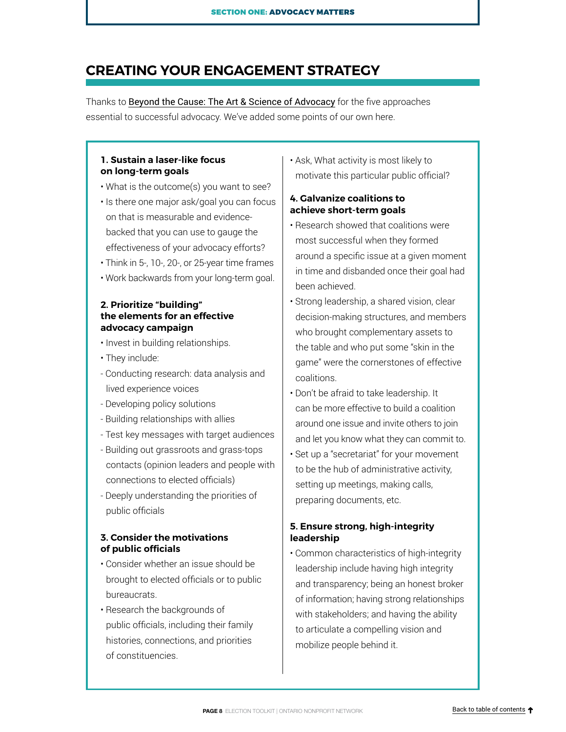# <span id="page-7-0"></span>**CREATING YOUR ENGAGEMENT STRATEGY**

Thanks to [Beyond the Cause: The Art & Science of Advocacy](https://www.independentsector.org/wp-content/uploads/2016/12/IS-BeyondtheCause-Full.pdf) for the five approaches essential to successful advocacy. We've added some points of our own here.

#### **1. Sustain a laser-like focus on long-term goals**

- What is the outcome(s) you want to see?
- Is there one major ask/goal you can focus on that is measurable and evidencebacked that you can use to gauge the effectiveness of your advocacy efforts?
- Think in 5-, 10-, 20-, or 25-year time frames
- Work backwards from your long-term goal.

#### **2. Prioritize "building" the elements for an effective advocacy campaign**

- Invest in building relationships.
- They include:
- Conducting research: data analysis and lived experience voices
- Developing policy solutions
- Building relationships with allies
- Test key messages with target audiences
- Building out grassroots and grass-tops contacts (opinion leaders and people with connections to elected officials)
- Deeply understanding the priorities of public officials

#### **3. Consider the motivations of public officials**

- Consider whether an issue should be brought to elected officials or to public bureaucrats.
- Research the backgrounds of public officials, including their family histories, connections, and priorities of constituencies.

• Ask, What activity is most likely to motivate this particular public official?

#### **4. Galvanize coalitions to achieve short-term goals**

- Research showed that coalitions were most successful when they formed around a specific issue at a given moment in time and disbanded once their goal had been achieved.
- Strong leadership, a shared vision, clear decision-making structures, and members who brought complementary assets to the table and who put some "skin in the game" were the cornerstones of effective coalitions.
- Don't be afraid to take leadership. It can be more effective to build a coalition around one issue and invite others to join and let you know what they can commit to.
- Set up a "secretariat" for your movement to be the hub of administrative activity, setting up meetings, making calls, preparing documents, etc.

#### **5. Ensure strong, high-integrity leadership**

• Common characteristics of high-integrity leadership include having high integrity and transparency; being an honest broker of information; having strong relationships with stakeholders; and having the ability to articulate a compelling vision and mobilize people behind it.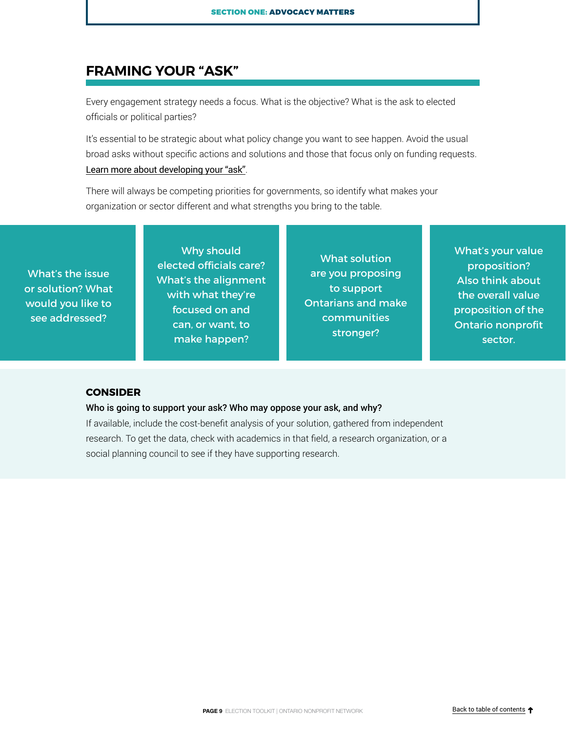# <span id="page-8-0"></span>**FRAMING YOUR "ASK"**

Every engagement strategy needs a focus. What is the objective? What is the ask to elected officials or political parties?

It's essential to be strategic about what policy change you want to see happen. Avoid the usual broad asks without specific actions and solutions and those that focus only on funding requests. [Learn more about developing your "ask"](https://theonn.ca/wp-content/uploads/2019/01/How-to-write-a-pre-budget-submission.Webinar-2019.FINAL_.pdf).

There will always be competing priorities for governments, so identify what makes your organization or sector different and what strengths you bring to the table.

What's the issue or solution? What would you like to see addressed?

Why should elected officials care? What's the alignment with what they're focused on and can, or want, to make happen?

What solution are you proposing to support Ontarians and make communities stronger?

What's your value proposition? Also think about the overall value proposition of the Ontario nonprofit sector.

#### **CONSIDER**

#### Who is going to support your ask? Who may oppose your ask, and why?

If available, include the cost-benefit analysis of your solution, gathered from independent research. To get the data, check with academics in that field, a research organization, or a social planning council to see if they have supporting research.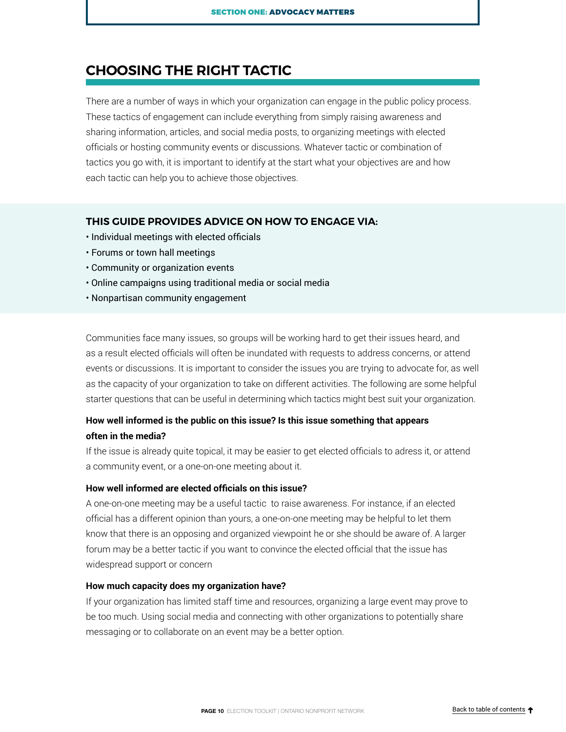# <span id="page-9-0"></span>**CHOOSING THE RIGHT TACTIC**

There are a number of ways in which your organization can engage in the public policy process. These tactics of engagement can include everything from simply raising awareness and sharing information, articles, and social media posts, to organizing meetings with elected officials or hosting community events or discussions. Whatever tactic or combination of tactics you go with, it is important to identify at the start what your objectives are and how each tactic can help you to achieve those objectives.

#### **THIS GUIDE PROVIDES ADVICE ON HOW TO ENGAGE VIA:**

- Individual meetings with elected officials
- Forums or town hall meetings
- Community or organization events
- Online campaigns using traditional media or social media
- Nonpartisan community engagement

Communities face many issues, so groups will be working hard to get their issues heard, and as a result elected officials will often be inundated with requests to address concerns, or attend events or discussions. It is important to consider the issues you are trying to advocate for, as well as the capacity of your organization to take on different activities. The following are some helpful starter questions that can be useful in determining which tactics might best suit your organization.

### **How well informed is the public on this issue? Is this issue something that appears often in the media?**

If the issue is already quite topical, it may be easier to get elected officials to adress it, or attend a community event, or a one-on-one meeting about it.

#### **How well informed are elected officials on this issue?**

A one-on-one meeting may be a useful tactic to raise awareness. For instance, if an elected official has a different opinion than yours, a one-on-one meeting may be helpful to let them know that there is an opposing and organized viewpoint he or she should be aware of. A larger forum may be a better tactic if you want to convince the elected official that the issue has widespread support or concern

#### **How much capacity does my organization have?**

If your organization has limited staff time and resources, organizing a large event may prove to be too much. Using social media and connecting with other organizations to potentially share messaging or to collaborate on an event may be a better option.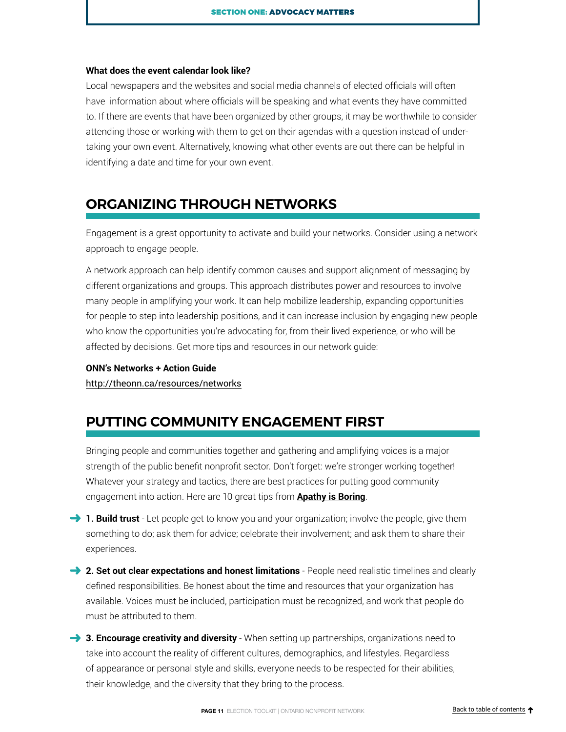#### <span id="page-10-0"></span>**What does the event calendar look like?**

Local newspapers and the websites and social media channels of elected officials will often have information about where officials will be speaking and what events they have committed to. If there are events that have been organized by other groups, it may be worthwhile to consider attending those or working with them to get on their agendas with a question instead of undertaking your own event. Alternatively, knowing what other events are out there can be helpful in identifying a date and time for your own event.

# **ORGANIZING THROUGH NETWORKS**

Engagement is a great opportunity to activate and build your networks. Consider using a network approach to engage people.

A network approach can help identify common causes and support alignment of messaging by different organizations and groups. This approach distributes power and resources to involve many people in amplifying your work. It can help mobilize leadership, expanding opportunities for people to step into leadership positions, and it can increase inclusion by engaging new people who know the opportunities you're advocating for, from their lived experience, or who will be affected by decisions. Get more tips and resources in our network guide:

#### **ONN's Networks + Action Guide**

<http://theonn.ca/resources/networks>

# **PUTTING COMMUNITY ENGAGEMENT FIRST**

Bringing people and communities together and gathering and amplifying voices is a major strength of the public benefit nonprofit sector. Don't forget: we're stronger working together! Whatever your strategy and tactics, there are best practices for putting good community engagement into action. Here are 10 great tips from **A[pathy is Boring](http://www.apathyisboring.com/)**.

- **1. Build trust** Let people get to know you and your organization; involve the people, give them something to do; ask them for advice; celebrate their involvement; and ask them to share their experiences.
- **2. Set out clear expectations and honest limitations** People need realistic timelines and clearly defined responsibilities. Be honest about the time and resources that your organization has available. Voices must be included, participation must be recognized, and work that people do must be attributed to them.
- **3. Encourage creativity and diversity** When setting up partnerships, organizations need to take into account the reality of different cultures, demographics, and lifestyles. Regardless of appearance or personal style and skills, everyone needs to be respected for their abilities, their knowledge, and the diversity that they bring to the process.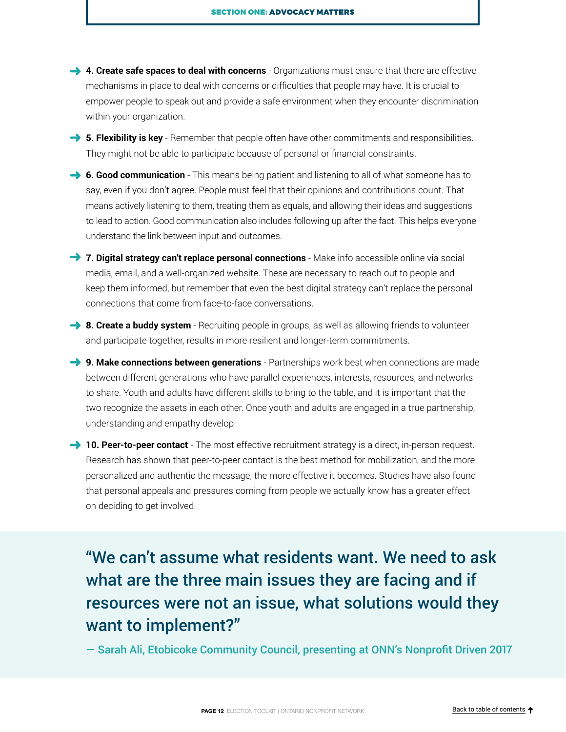- **→ 4. Create safe spaces to deal with concerns** Organizations must ensure that there are effective mechanisms in place to deal with concerns or difficulties that people may have. It is crucial to empower people to speak out and provide a safe environment when they encounter discrimination within your organization.
- **5. Flexibility is key** Remember that people often have other commitments and responsibilities. They might not be able to participate because of personal or financial constraints.
- **6. Good communication** This means being patient and listening to all of what someone has to say, even if you don't agree. People must feel that their opinions and contributions count. That means actively listening to them, treating them as equals, and allowing their ideas and suggestions to lead to action. Good communication also includes following up after the fact. This helps everyone understand the link between input and outcomes.
- **7. Digital strategy can't replace personal connections** Make info accessible online via social media, email, and a well-organized website. These are necessary to reach out to people and keep them informed, but remember that even the best digital strategy can't replace the personal connections that come from face-to-face conversations.
- **→ 8. Create a buddy system** Recruiting people in groups, as well as allowing friends to volunteer and participate together, results in more resilient and longer-term commitments.
- **9. Make connections between generations** Partnerships work best when connections are made between different generations who have parallel experiences, interests, resources, and networks to share. Youth and adults have different skills to bring to the table, and it is important that the two recognize the assets in each other. Once youth and adults are engaged in a true partnership, understanding and empathy develop.
- 10. Peer-to-peer contact The most effective recruitment strategy is a direct, in-person request. Research has shown that peer-to-peer contact is the best method for mobilization, and the more personalized and authentic the message, the more effective it becomes. Studies have also found that personal appeals and pressures coming from people we actually know has a greater effect on deciding to get involved.

# "We can't assume what residents want. We need to ask what are the three main issues they are facing and if resources were not an issue, what solutions would they want to implement?"

— Sarah Ali, Etobicoke Community Council, presenting at ONN's Nonprofit Driven 2017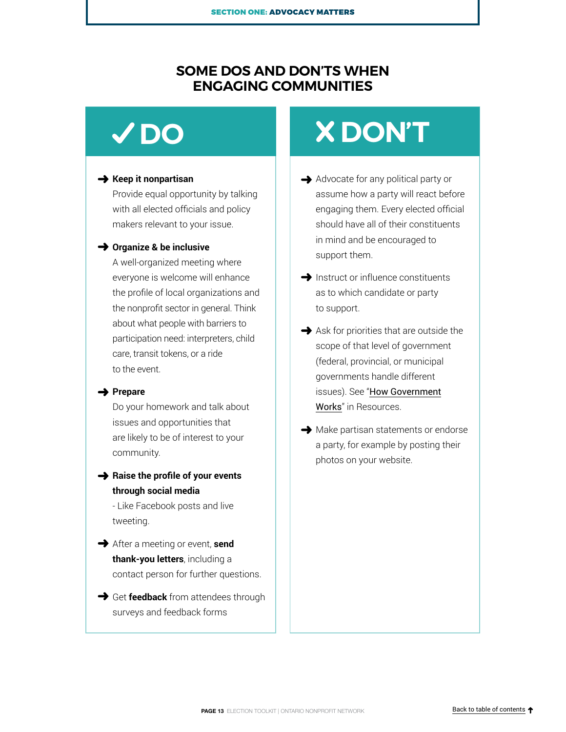# **SOME DOS AND DON'TS WHEN ENGAGING COMMUNITIES**

#### **→ Keep it nonpartisan**

Provide equal opportunity by talking with all elected officials and policy makers relevant to your issue.

#### **→ Organize & be inclusive**

A well-organized meeting where everyone is welcome will enhance the profile of local organizations and the nonprofit sector in general. Think about what people with barriers to participation need: interpreters, child care, transit tokens, or a ride to the event.

#### **→ Prepare**

Do your homework and talk about issues and opportunities that are likely to be of interest to your community.

**→** Raise the profile of your events **through social media**

- Like Facebook posts and live tweeting.

- After a meeting or event, **send thank-you letters**, including a contact person for further questions.
- **→** Get **feedback** from attendees through surveys and feedback forms

# <span id="page-12-0"></span>**DO DON'T** ➜

- Advocate for any political party or assume how a party will react before engaging them. Every elected official should have all of their constituents in mind and be encouraged to support them.
- $\rightarrow$  Instruct or influence constituents as to which candidate or party to support.
- $\rightarrow$  Ask for priorities that are outside the scope of that level of government (federal, provincial, or municipal governments handle different issues). See "[How Government](#page-28-0) [Works](#page-28-0)" in Resources.
- $\rightarrow$  Make partisan statements or endorse a party, for example by posting their photos on your website.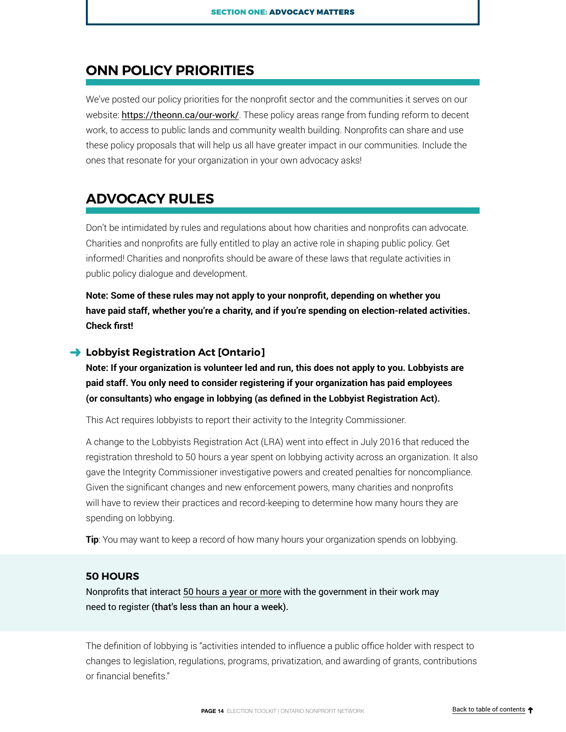# <span id="page-13-0"></span>**ONN POLICY PRIORITIES**

We've posted our policy priorities for the nonprofit sector and the communities it serves on our website: <https://theonn.ca/our-work/>. These policy areas range from funding reform to decent work, to access to public lands and community wealth building. Nonprofits can share and use these policy proposals that will help us all have greater impact in our communities. Include the ones that resonate for your organization in your own advocacy asks!

# **ADVOCACY RULES**

Don't be intimidated by rules and regulations about how charities and nonprofits can advocate. Charities and nonprofits are fully entitled to play an active role in shaping public policy. Get informed! Charities and nonprofits should be aware of these laws that regulate activities in public policy dialogue and development.

**Note: Some of these rules may not apply to your nonprofit, depending on whether you**  have paid staff, whether you're a charity, and if you're spending on election-related activities. **Check first!**

#### **→ Lobbyist Registration Act [Ontario]**

**Note: If your organization is volunteer led and run, this does not apply to you. Lobbyists are paid staff. You only need to consider registering if your organization has paid employees (or consultants) who engage in lobbying (as defined in the Lobbyist Registration Act).**

This Act requires lobbyists to report their activity to the Integrity Commissioner.

A change to the Lobbyists Registration Act (LRA) went into effect in July 2016 that reduced the registration threshold to 50 hours a year spent on lobbying activity across an organization. It also gave the Integrity Commissioner investigative powers and created penalties for noncompliance. Given the significant changes and new enforcement powers, many charities and nonprofits will have to review their practices and record-keeping to determine how many hours they are spending on lobbying.

**Tip**: You may want to keep a record of how many hours your organization spends on lobbying.

#### **50 HOURS**

Nonprofits that interact 50 hours a year or more [with the government in their work may](https://lobbycanada.gc.ca/eic/site/012.nsf/eng/h_00000.html)  [need to register](https://lobbycanada.gc.ca/eic/site/012.nsf/eng/h_00000.html) (that's less than an hour a week).

The definition of lobbying is "activities intended to influence a public office holder with respect to changes to legislation, regulations, programs, privatization, and awarding of grants, contributions or financial benefits."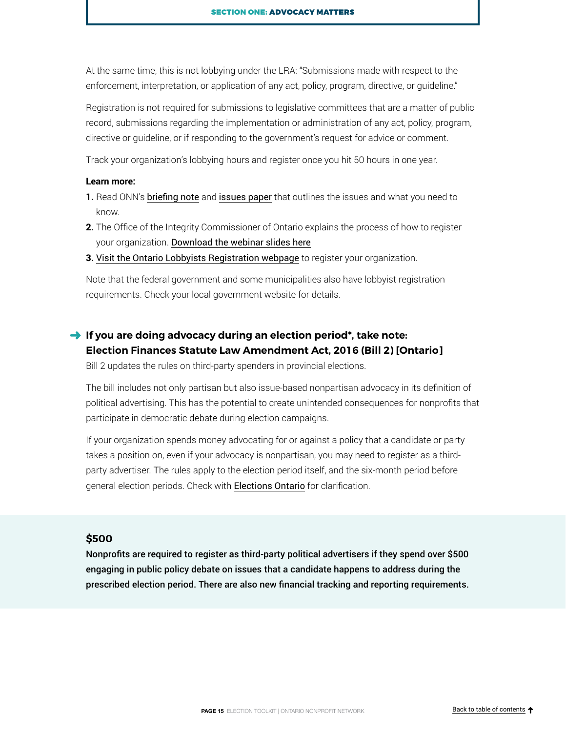<span id="page-14-0"></span>At the same time, this is not lobbying under the LRA: "Submissions made with respect to the enforcement, interpretation, or application of any act, policy, program, directive, or guideline."

Registration is not required for submissions to legislative committees that are a matter of public record, submissions regarding the implementation or administration of any act, policy, program, directive or guideline, or if responding to the government's request for advice or comment.

Track your organization's lobbying hours and register once you hit 50 hours in one year.

#### **Learn more:**

- **1.** Read ONN's [briefing note](http://theonn.ca/wp-content/uploads/2016/01/2015-Jun-16_ONNBriefingNote_6ThingsLobbyistsRegistrationAct.pdf) and [issues paper](http://theonn.ca/wp-content/uploads/2016/10/Lobbyist-Registration-Act-ONN-Issues-Paper-Oct-7-2016-FINAL-1.pdf) that outlines the issues and what you need to know.
- **2.** The Office of the Integrity Commissioner of Ontario explains the process of how to register your organization. [Download the webinar slides here](http://theonn.ca/wp-content/uploads/2016/07/ONN_Webinar_Lobbying_2016-06-29.pdf)
- **3.** [Visit the Ontario Lobbyists Registration webpage](http://www.oico.on.ca/home/lobbyists-registration) to register your organization.

Note that the federal government and some municipalities also have lobbyist registration requirements. Check your local government website for details.

## **→** If you are doing advocacy during an election period\*, take note: **Election Finances Statute Law Amendment Act, 2016 (Bill 2) [Ontario]**

Bill 2 updates the rules on third-party spenders in provincial elections.

The bill includes not only partisan but also issue-based nonpartisan advocacy in its definition of political advertising. This has the potential to create unintended consequences for nonprofits that participate in democratic debate during election campaigns.

If your organization spends money advocating for or against a policy that a candidate or party takes a position on, even if your advocacy is nonpartisan, you may need to register as a thirdparty advertiser. The rules apply to the election period itself, and the six-month period before general election periods. Check with **[Elections Ontario](https://www.elections.on.ca/en.html)** for clarification.

#### **\$500**

Nonprofits are required to register as third-party political advertisers if they spend over \$500 engaging in public policy debate on issues that a candidate happens to address during the prescribed election period. There are also new financial tracking and reporting requirements.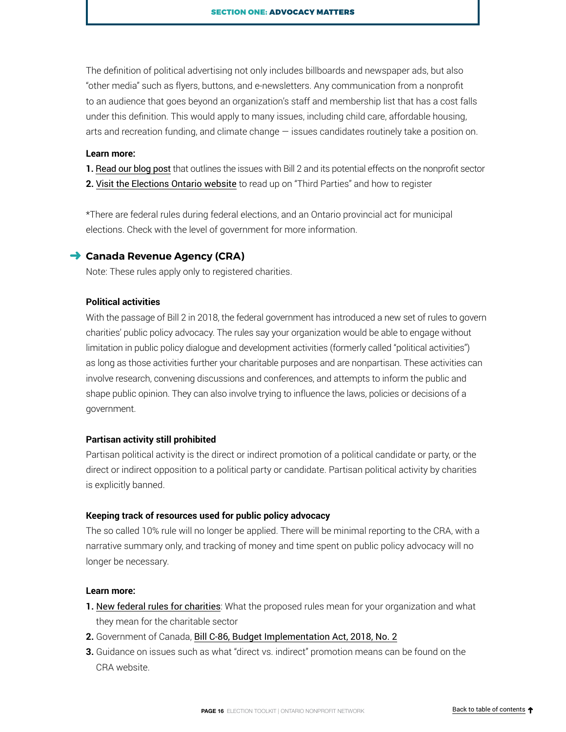<span id="page-15-0"></span>The definition of political advertising not only includes billboards and newspaper ads, but also "other media" such as flyers, buttons, and e-newsletters. Any communication from a nonprofit to an audience that goes beyond an organization's staff and membership list that has a cost falls under this definition. This would apply to many issues, including child care, affordable housing, arts and recreation funding, and climate change — issues candidates routinely take a position on.

#### **Learn more:**

**1.** [Read our blog post](http://theonn.ca/new-advocacy-chill-election-finances-act/) that outlines the issues with Bill 2 and its potential effects on the nonprofit sector

**2.** [Visit the Elections Ontario website](http://www.elections.on.ca/en/political-entities-in-ontario/third-parties.html) to read up on "Third Parties" and how to register

\*There are federal rules during federal elections, and an Ontario provincial act for municipal elections. Check with the level of government for more information.

#### **→ Canada Revenue Agency (CRA)**

Note: These rules apply only to registered charities.

#### **Political activities**

With the passage of Bill 2 in 2018, the federal government has introduced a new set of rules to govern charities' public policy advocacy. The rules say your organization would be able to engage without limitation in public policy dialogue and development activities (formerly called "political activities") as long as those activities further your charitable purposes and are nonpartisan. These activities can involve research, convening discussions and conferences, and attempts to inform the public and shape public opinion. They can also involve trying to influence the laws, policies or decisions of a government.

#### **Partisan activity still prohibited**

Partisan political activity is the direct or indirect promotion of a political candidate or party, or the direct or indirect opposition to a political party or candidate. Partisan political activity by charities is explicitly banned.

#### **Keeping track of resources used for public policy advocacy**

The so called 10% rule will no longer be applied. There will be minimal reporting to the CRA, with a narrative summary only, and tracking of money and time spent on public policy advocacy will no longer be necessary.

#### **Learn more:**

- **1.** [New federal rules for charities](http://imaginecanada.ca/who-we-are/whats-new/news/new-public-policy-advocacy-rules-charities): What the proposed rules mean for your organization and what they mean for the charitable sector
- **2.** Government of Canada, [Bill C-86, Budget Implementation Act, 2018, No. 2](http://www.parl.ca/LegisInfo/BillDetails.aspx?billId=10127729&Language=E)
- **3.** Guidance on issues such as what "direct vs. indirect" promotion means can be found on the CRA website.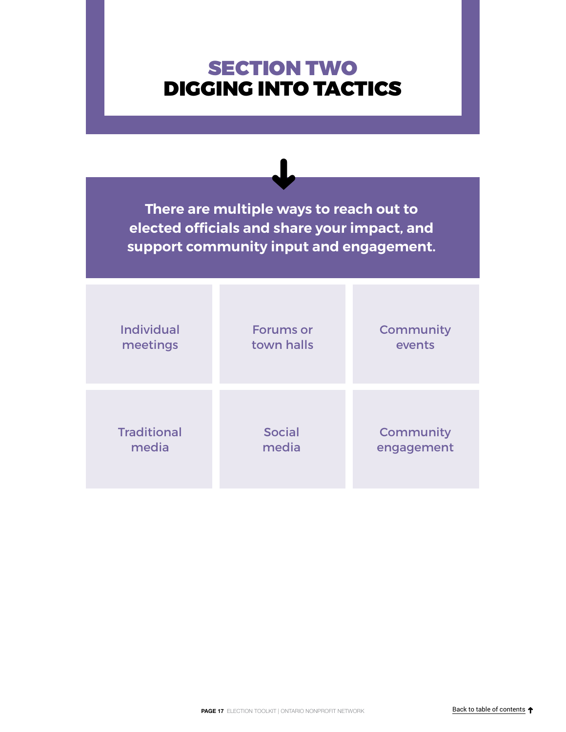# <span id="page-16-0"></span>SECTION TWO DIGGING INTO TACTICS

**There are multiple ways to reach out to elected officials and share your impact, and support community input and engagement.**

| <b>Individual</b>  | <b>Forums or</b> | Community  |
|--------------------|------------------|------------|
| meetings           | town halls       | events     |
| <b>Traditional</b> | <b>Social</b>    | Community  |
| media              | media            | engagement |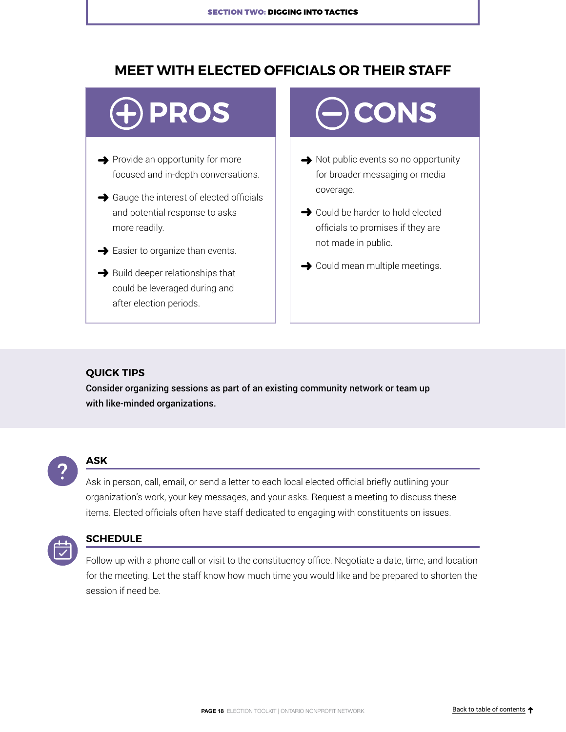# <span id="page-17-0"></span>**MEET WITH ELECTED OFFICIALS OR THEIR STAFF**

- $\rightarrow$  Provide an opportunity for more focused and in-depth conversations.
- $\rightarrow$  Gauge the interest of elected officials and potential response to asks more readily.
- $\rightarrow$  Easier to organize than events.
- $\rightarrow$  Build deeper relationships that could be leveraged during and after election periods.

# **PROS**  $\Box$   $\Box$  CONS

- $\rightarrow$  Not public events so no opportunity for broader messaging or media coverage.
- $\rightarrow$  Could be harder to hold elected officials to promises if they are not made in public.
- **→** Could mean multiple meetings.

#### **QUICK TIPS**

Consider organizing sessions as part of an existing community network or team up with like-minded organizations.



#### **ASK**

Ask in person, call, email, or send a letter to each local elected official briefly outlining your organization's work, your key messages, and your asks. Request a meeting to discuss these items. Elected officials often have staff dedicated to engaging with constituents on issues.



#### **SCHEDULE**

Follow up with a phone call or visit to the constituency office. Negotiate a date, time, and location for the meeting. Let the staff know how much time you would like and be prepared to shorten the session if need be.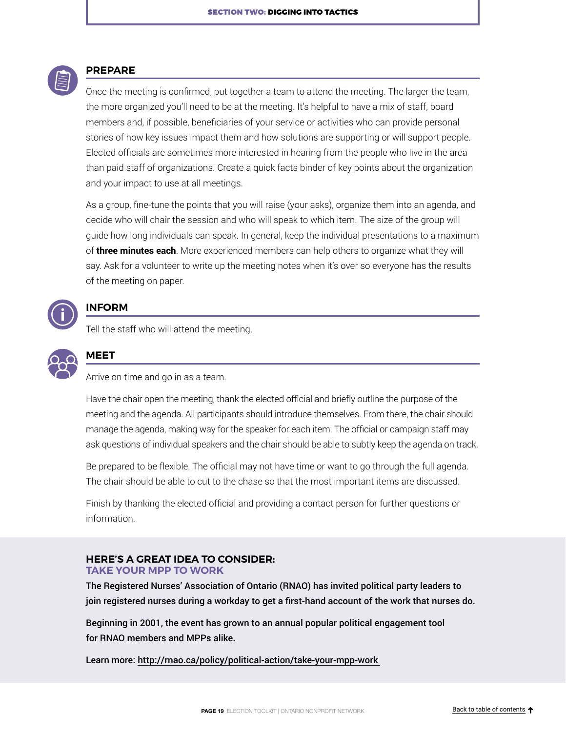

#### **PREPARE**

Once the meeting is confirmed, put together a team to attend the meeting. The larger the team, the more organized you'll need to be at the meeting. It's helpful to have a mix of staff, board members and, if possible, beneficiaries of your service or activities who can provide personal stories of how key issues impact them and how solutions are supporting or will support people. Elected officials are sometimes more interested in hearing from the people who live in the area than paid staff of organizations. Create a quick facts binder of key points about the organization and your impact to use at all meetings.

As a group, fine-tune the points that you will raise (your asks), organize them into an agenda, and decide who will chair the session and who will speak to which item. The size of the group will guide how long individuals can speak. In general, keep the individual presentations to a maximum of **three minutes each**. More experienced members can help others to organize what they will say. Ask for a volunteer to write up the meeting notes when it's over so everyone has the results of the meeting on paper.



#### **INFORM**

Tell the staff who will attend the meeting.



### **MEET**

Arrive on time and go in as a team.

Have the chair open the meeting, thank the elected official and briefly outline the purpose of the meeting and the agenda. All participants should introduce themselves. From there, the chair should manage the agenda, making way for the speaker for each item. The official or campaign staff may ask questions of individual speakers and the chair should be able to subtly keep the agenda on track.

Be prepared to be flexible. The official may not have time or want to go through the full agenda. The chair should be able to cut to the chase so that the most important items are discussed.

Finish by thanking the elected official and providing a contact person for further questions or information.

#### **HERE'S A GREAT IDEA TO CONSIDER: TAKE YOUR MPP TO WORK**

The Registered Nurses' Association of Ontario (RNAO) has invited political party leaders to join registered nurses during a workday to get a first-hand account of the work that nurses do.

Beginning in 2001, the event has grown to an annual popular political engagement tool for RNAO members and MPPs alike.

Learn more:<http://rnao.ca/policy/political-action/take-your-mpp-work>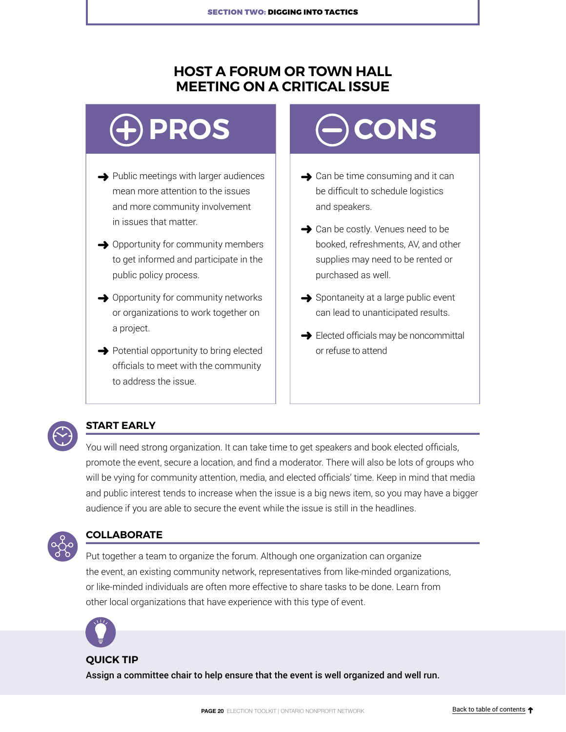# <span id="page-19-0"></span>**HOST A FORUM OR TOWN HALL MEETING ON A CRITICAL ISSUE**

- $\rightarrow$  Public meetings with larger audiences mean more attention to the issues and more community involvement in issues that matter.
- $\rightarrow$  Opportunity for community members to get informed and participate in the public policy process.
- **→** Opportunity for community networks or organizations to work together on a project.
- $\rightarrow$  Potential opportunity to bring elected officials to meet with the community to address the issue.

# **PROS**  $\left(\begin{matrix} -\end{matrix}\right)$  CONS

- $\rightarrow$  Can be time consuming and it can be difficult to schedule logistics and speakers.
- **→** Can be costly. Venues need to be booked, refreshments, AV, and other supplies may need to be rented or purchased as well.
- $\rightarrow$  Spontaneity at a large public event can lead to unanticipated results.
- Elected officials may be noncommittal or refuse to attend



## **START EARLY**

You will need strong organization. It can take time to get speakers and book elected officials, promote the event, secure a location, and find a moderator. There will also be lots of groups who will be vying for community attention, media, and elected officials' time. Keep in mind that media and public interest tends to increase when the issue is a big news item, so you may have a bigger audience if you are able to secure the event while the issue is still in the headlines.



### **COLLABORATE**

Put together a team to organize the forum. Although one organization can organize the event, an existing community network, representatives from like-minded organizations, or like-minded individuals are often more effective to share tasks to be done. Learn from other local organizations that have experience with this type of event.



#### **QUICK TIP**

Assign a committee chair to help ensure that the event is well organized and well run.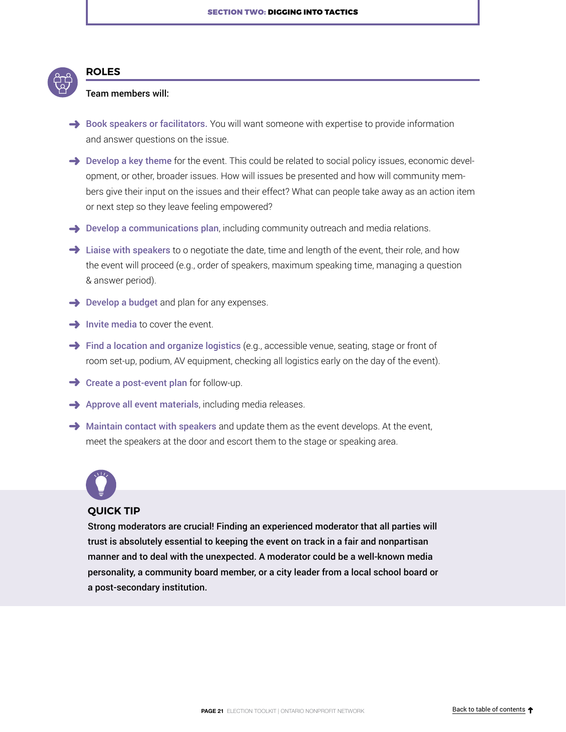

## Team members will:

**ROLES**

- $\rightarrow$  Book speakers or facilitators. You will want someone with expertise to provide information and answer questions on the issue.
- $\rightarrow$  Develop a key theme for the event. This could be related to social policy issues, economic development, or other, broader issues. How will issues be presented and how will community members give their input on the issues and their effect? What can people take away as an action item or next step so they leave feeling empowered?
- $\rightarrow$  Develop a communications plan, including community outreach and media relations.
- $\rightarrow$  Liaise with speakers to o negotiate the date, time and length of the event, their role, and how the event will proceed (e.g., order of speakers, maximum speaking time, managing a question & answer period).
- $\rightarrow$  Develop a budget and plan for any expenses.
- $\rightarrow$  Invite media to cover the event.
- $\rightarrow$  Find a location and organize logistics (e.g., accessible venue, seating, stage or front of room set-up, podium, AV equipment, checking all logistics early on the day of the event).
- $\rightarrow$  Create a post-event plan for follow-up.
- $\rightarrow$  Approve all event materials, including media releases.
- $\rightarrow$  Maintain contact with speakers and update them as the event develops. At the event, meet the speakers at the door and escort them to the stage or speaking area.



#### **QUICK TIP**

Strong moderators are crucial! Finding an experienced moderator that all parties will trust is absolutely essential to keeping the event on track in a fair and nonpartisan manner and to deal with the unexpected. A moderator could be a well-known media personality, a community board member, or a city leader from a local school board or a post-secondary institution.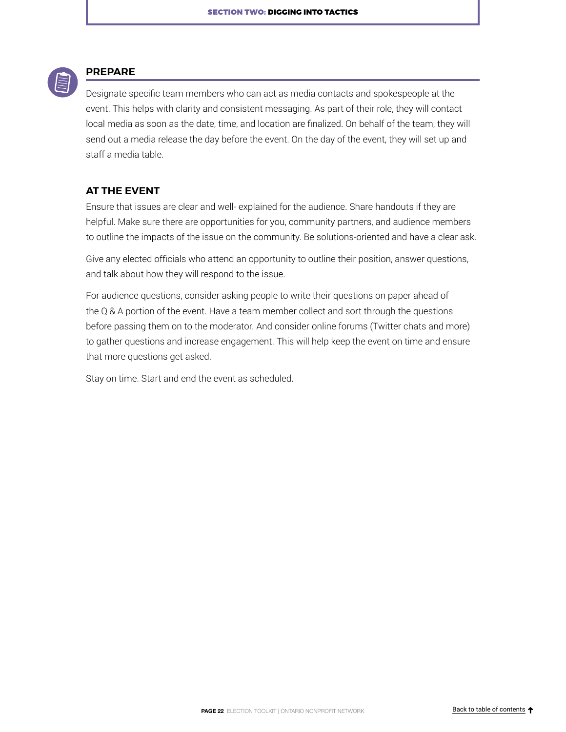

#### **PREPARE**

Designate specific team members who can act as media contacts and spokespeople at the event. This helps with clarity and consistent messaging. As part of their role, they will contact local media as soon as the date, time, and location are finalized. On behalf of the team, they will send out a media release the day before the event. On the day of the event, they will set up and staff a media table.

#### **AT THE EVENT**

Ensure that issues are clear and well- explained for the audience. Share handouts if they are helpful. Make sure there are opportunities for you, community partners, and audience members to outline the impacts of the issue on the community. Be solutions-oriented and have a clear ask.

Give any elected officials who attend an opportunity to outline their position, answer questions, and talk about how they will respond to the issue.

For audience questions, consider asking people to write their questions on paper ahead of the Q & A portion of the event. Have a team member collect and sort through the questions before passing them on to the moderator. And consider online forums (Twitter chats and more) to gather questions and increase engagement. This will help keep the event on time and ensure that more questions get asked.

Stay on time. Start and end the event as scheduled.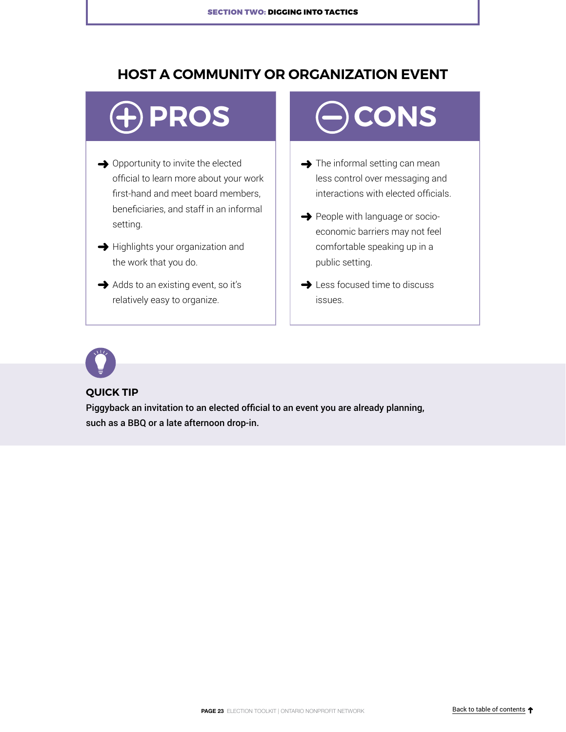# <span id="page-22-0"></span>**HOST A COMMUNITY OR ORGANIZATION EVENT**

- $\rightarrow$  Opportunity to invite the elected official to learn more about your work first-hand and meet board members, beneficiaries, and staff in an informal setting.
- $\rightarrow$  Highlights your organization and the work that you do.
- $\rightarrow$  Adds to an existing event, so it's relatively easy to organize.

# **PROS**  $\left(\begin{matrix} -\end{matrix}\right)$  CONS

- $\rightarrow$  The informal setting can mean less control over messaging and interactions with elected officials.
- People with language or socioeconomic barriers may not feel comfortable speaking up in a public setting.
- **→** Less focused time to discuss issues.



#### **QUICK TIP**

Piggyback an invitation to an elected official to an event you are already planning, such as a BBQ or a late afternoon drop-in.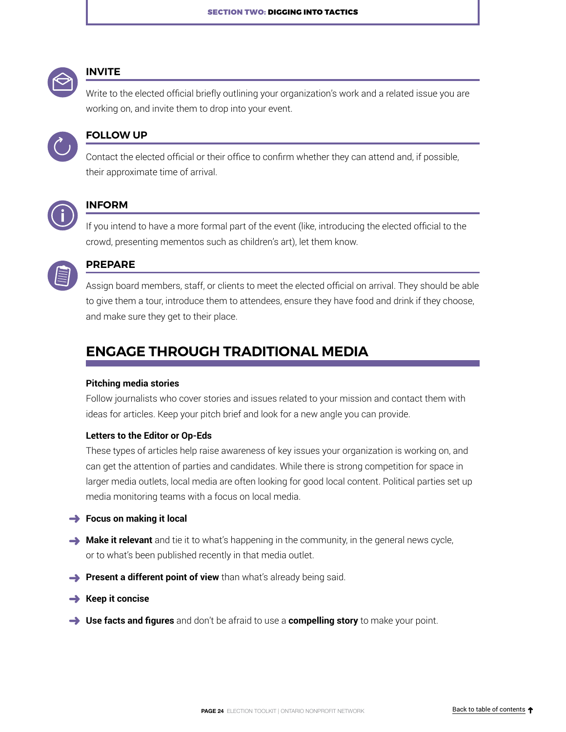<span id="page-23-0"></span>

#### **INVITE**

Write to the elected official briefly outlining your organization's work and a related issue you are working on, and invite them to drop into your event.



### **FOLLOW UP**

Contact the elected official or their office to confirm whether they can attend and, if possible, their approximate time of arrival.



#### **INFORM**

If you intend to have a more formal part of the event (like, introducing the elected official to the crowd, presenting mementos such as children's art), let them know.



### **PREPARE**

Assign board members, staff, or clients to meet the elected official on arrival. They should be able to give them a tour, introduce them to attendees, ensure they have food and drink if they choose, and make sure they get to their place.

# **ENGAGE THROUGH TRADITIONAL MEDIA**

#### **Pitching media stories**

Follow journalists who cover stories and issues related to your mission and contact them with ideas for articles. Keep your pitch brief and look for a new angle you can provide.

#### **Letters to the Editor or Op-Eds**

These types of articles help raise awareness of key issues your organization is working on, and can get the attention of parties and candidates. While there is strong competition for space in larger media outlets, local media are often looking for good local content. Political parties set up media monitoring teams with a focus on local media.

#### **→** Focus on making it local

- **Make it relevant** and tie it to what's happening in the community, in the general news cycle, or to what's been published recently in that media outlet.
- **Present a different point of view** than what's already being said.
- **Keep it concise**
- **Use facts and figures** and don't be afraid to use a **compelling story** to make your point.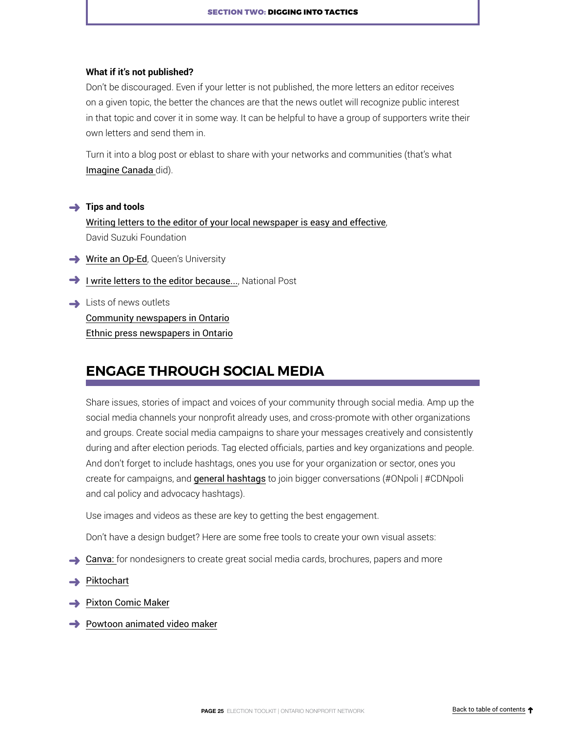#### <span id="page-24-0"></span>**What if it's not published?**

Don't be discouraged. Even if your letter is not published, the more letters an editor receives on a given topic, the better the chances are that the news outlet will recognize public interest in that topic and cover it in some way. It can be helpful to have a group of supporters write their own letters and send them in.

Turn it into a blog post or eblast to share with your networks and communities (that's what [Imagine Canada](http://www.imaginecanada.ca/blog/national-post-column-authors-lack-understanding-%E2%80%9Cpolitical-activities%E2%80%9D) did).

#### **→** Tips and tools

[Writing letters to the editor of your local newspaper is easy and effective](http://www.davidsuzuki.org/issues/oceans/science/writing-letters-to-the-editor-of-your-local-newspaper-is-easy-and-effective/), David Suzuki Foundation

- **→ [Write an Op-Ed](http://www.queensu.ca/universityrelations/communications/oped)**, Queen's University
- [I write letters to the editor because](http://nationalpost.com/opinion/i-write-letters-to-the-editor-because/wcm/98f20e3f-a11f-4303-b286-33ce3f1c1975)..., National Post
- $\rightarrow$  Lists of news outlets [Community newspapers in Ontario](https://nmc-mic.ca/about-us/find-a-newspaper/) [Ethnic press newspapers in Ontario](http://nationalethnicpress.com/ethnic-press/newspaper/newspapers-ontario/)

# **ENGAGE THROUGH SOCIAL MEDIA**

Share issues, stories of impact and voices of your community through social media. Amp up the social media channels your nonprofit already uses, and cross-promote with other organizations and groups. Create social media campaigns to share your messages creatively and consistently during and after election periods. Tag elected officials, parties and key organizations and people. And don't forget to include hashtags, ones you use for your organization or sector, ones you create for campaigns, and [general hashtags](http://politwitter.ca/page/canadian-politics-hash-tags/province/on) to join bigger conversations (#ONpoli | #CDNpoli and cal policy and advocacy hashtags).

Use images and videos as these are key to getting the best engagement.

Don't have a design budget? Here are some free tools to create your own visual assets:

- [Canva:](https://www.canva.com/) for nondesigners to create great social media cards, brochures, papers and more
- [Piktochart](https://piktochart.com/)
- [Pixton Comic Maker](https://www.pixton.com/)
- $\rightarrow$  [Powtoon animated video maker](https://www.powtoon.com/blog/create-your-own-animation-the-best-animated-video-maker/)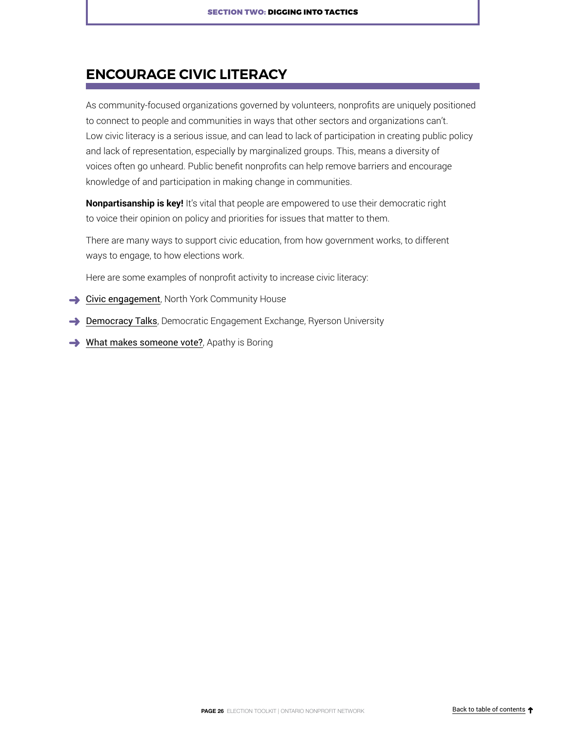# <span id="page-25-0"></span>**ENCOURAGE CIVIC LITERACY**

As community-focused organizations governed by volunteers, nonprofits are uniquely positioned to connect to people and communities in ways that other sectors and organizations can't. Low civic literacy is a serious issue, and can lead to lack of participation in creating public policy and lack of representation, especially by marginalized groups. This, means a diversity of voices often go unheard. Public benefit nonprofits can help remove barriers and encourage knowledge of and participation in making change in communities.

**Nonpartisanship is key!** It's vital that people are empowered to use their democratic right to voice their opinion on policy and priorities for issues that matter to them.

There are many ways to support civic education, from how government works, to different ways to engage, to how elections work.

Here are some examples of nonprofit activity to increase civic literacy:

- $\rightarrow$  [Civic engagement](https://www.nych.ca/search?q=civic%20engagement), North York Community House
- **[Democracy Talks](https://www.ryerson.ca/content/dam/arts/documents/democracy_talks_2018_booklet.pdf)**, Democratic Engagement Exchange, Ryerson University
- $\rightarrow$  [What makes someone vote?](https://www.youtube.com/watch?v=IzsL4VzA210), Apathy is Boring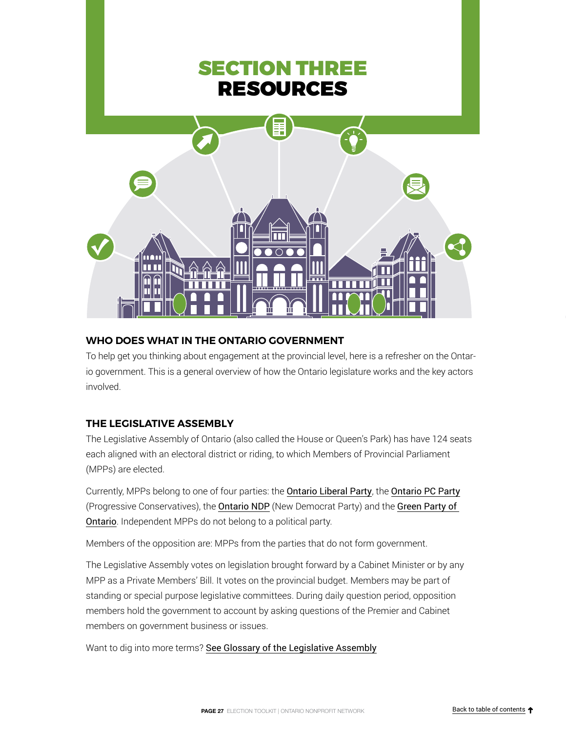<span id="page-26-0"></span>

### **WHO DOES WHAT IN THE ONTARIO GOVERNMENT**

To help get you thinking about engagement at the provincial level, here is a refresher on the Ontario government. This is a general overview of how the Ontario legislature works and the key actors involved.

## **THE LEGISLATIVE ASSEMBLY**

The Legislative Assembly of Ontario (also called the House or Queen's Park) has have 124 seats each aligned with an electoral district or riding, to which Members of Provincial Parliament (MPPs) are elected.

Currently, MPPs belong to one of four parties: the [Ontario Liberal Party](https://ontarioliberal.ca), the [Ontario PC Party](http://www.ontariopc.com/Home/index) (Progressive Conservatives), the [Ontario NDP](http://www.ontariondp.ca/) (New Democrat Party) and the [Green Party](https://gpo.ca/) of Ontario. Independent MPPs do not belong to a political party.

Members of the opposition are: MPPs from the parties that do not form government.

The Legislative Assembly votes on legislation brought forward by a Cabinet Minister or by any MPP as a Private Members' Bill. It votes on the provincial budget. Members may be part of standing or special purpose legislative committees. During daily question period, opposition members hold the government to account by asking questions of the Premier and Cabinet members on government business or issues.

Want to dig into more terms? [See Glossary of the Legislative Assembly](http://www.ontla.on.ca/lao/en/office-of-the-assembly/glossary/)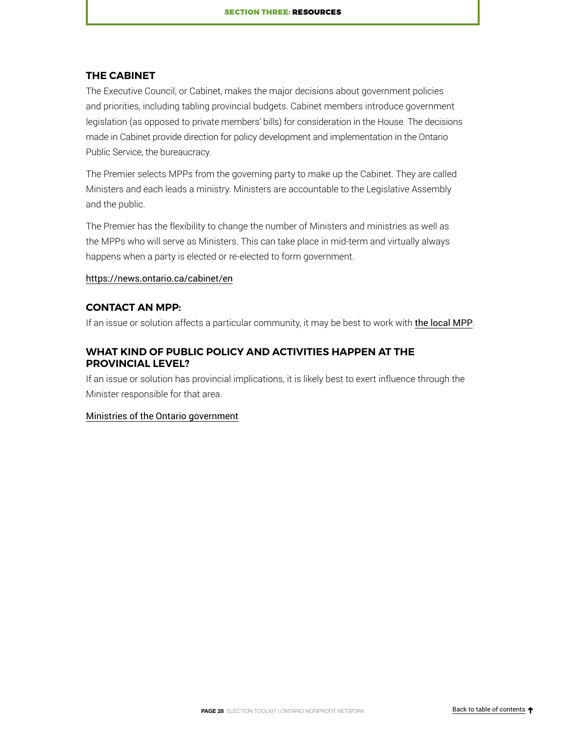#### **THE CABINET**

The Executive Council, or Cabinet, makes the major decisions about government policies and priorities, including tabling provincial budgets. Cabinet members introduce government legislation (as opposed to private members' bills) for consideration in the House. The decisions made in Cabinet provide direction for policy development and implementation in the Ontario Public Service, the bureaucracy.

The Premier selects MPPs from the governing party to make up the Cabinet. They are called Ministers and each leads a ministry. Ministers are accountable to the Legislative Assembly and the public.

The Premier has the flexibility to change the number of Ministers and ministries as well as the MPPs who will serve as Ministers. This can take place in mid-term and virtually always happens when a party is elected or re-elected to form government.

#### [https://news.ontario.ca/cabinet/en](https://www.ola.org/en/members/current/ministers)

#### **CONTACT AN MPP:**

If an issue or solution affects a particular community, it may be best to work with [the local MPP](http://www.ontla.on.ca/web/members/member_addresses.do?locale=en).

#### **WHAT KIND OF PUBLIC POLICY AND ACTIVITIES HAPPEN AT THE PROVINCIAL LEVEL?**

If an issue or solution has provincial implications, it is likely best to exert influence through the Minister responsible for that area.

#### [Ministries of the Ontario government](https://www.ontario.ca/page/ministries)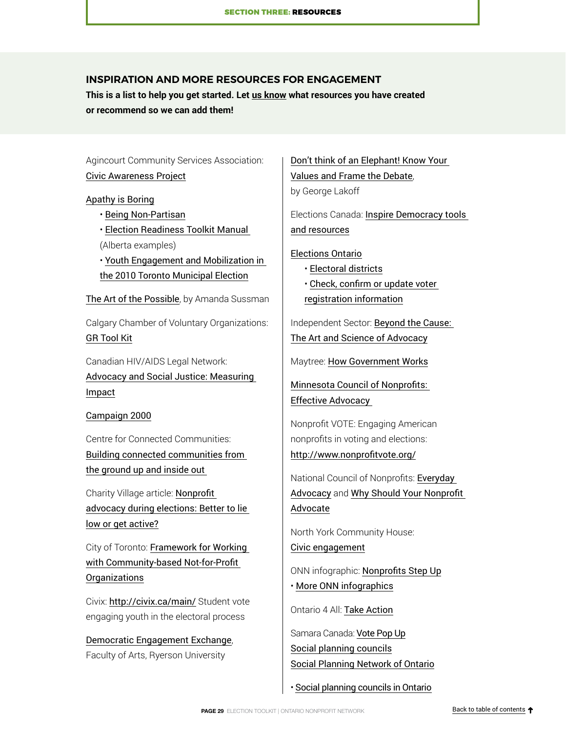#### <span id="page-28-0"></span>**INSPIRATION AND MORE RESOURCES FOR ENGAGEMENT**

**This is a list to help you get started. Let [us know](mailto:info%40theonn.ca?subject=) what resources you have created or recommend so we can add them!**

Agincourt Community Services Association: [Civic Awareness Project](https://www.agincourtcommunityservices.com/civic-awareness-network)

[Apathy is Boring](http://www.apathyisboring.com/)

- [Being Non-Partisan](https://www.youtube.com/watch?v=arNM0rihGwo)
- [Election Readiness Toolkit Manual](https://static1.squarespace.com/static/5398fdd7e4b00253b84d7b20/t/57d6bcfe46c3c46f83fc50d5/1473690878939/%281%29+Facilitators+Toolkit+Guide+-+Manual.pdf)
- (Alberta examples)
- [Youth Engagement and Mobilization in](http://www.elections.ca/content.aspx?section=res&dir=rec/part/youth&document=index&lang=e)  [the 2010 Toronto Municipal Election](http://www.elections.ca/content.aspx?section=res&dir=rec/part/youth&document=index&lang=e)

[The Art of the Possible](https://www.penguinrandomhouse.ca/books/175410/the-art-of-the-possible-by-amanda-sussman/9780771083402), by Amanda Sussman

Calgary Chamber of Voluntary Organizations: [GR Tool Kit](http://www.calgarycvo.org/gr-tool-kit/)

Canadian HIV/AIDS Legal Network: [Advocacy and Social Justice: Measuring](http://www.aidslaw.ca/site/our-story/measuring-impact/?lang=en)  [Impact](http://www.aidslaw.ca/site/our-story/measuring-impact/?lang=en)

[Campaign 2000](https://campaign2000.ca/)

Centre for Connected Communities: [Building connected communities from](http://www.connectedcommunities.ca/)  [the ground up and inside out](http://www.connectedcommunities.ca/) 

Charity Village article: [Nonprofit](https://charityvillage.com/Content.aspx?topic=Nonprofit_advocacy_during_elections_Better_to_lie_low_or_get_active#.WOZ6H_nyvIU)  [advocacy during elections: Better to lie](https://charityvillage.com/Content.aspx?topic=Nonprofit_advocacy_during_elections_Better_to_lie_low_or_get_active#.WOZ6H_nyvIU)  [low or get active?](https://charityvillage.com/Content.aspx?topic=Nonprofit_advocacy_during_elections_Better_to_lie_low_or_get_active#.WOZ6H_nyvIU)

City of Toronto: [Framework for Working](https://www.toronto.ca/city-government/accountability-operations-customer-service/long-term-vision-plans-and-strategies/not-for-profits/)  [with Community-based Not-for-Profit](https://www.toronto.ca/city-government/accountability-operations-customer-service/long-term-vision-plans-and-strategies/not-for-profits/)  [Organizations](https://www.toronto.ca/city-government/accountability-operations-customer-service/long-term-vision-plans-and-strategies/not-for-profits/)

Civix: <http://civix.ca/main/> Student vote engaging youth in the electoral process

[Democratic Engagement Exchange](https://www.ryerson.ca/arts/research-and-innovation/democratic-engagement-exchange/), Faculty of Arts, Ryerson University

[Don't think of an Elephant! Know Your](https://georgelakoff.com/2014/08/18/new-book-the-all-new-dont-think-of-an-elephant-know-your-values-and-frame-the-debate/)  [Values and Frame the Debate](https://georgelakoff.com/2014/08/18/new-book-the-all-new-dont-think-of-an-elephant-know-your-values-and-frame-the-debate/), by George Lakoff

Elections Canada: [Inspire Democracy tools](http://inspirerlademocratie-inspiredemocracy.ca/index-eng.asp)  [and resources](http://inspirerlademocratie-inspiredemocracy.ca/index-eng.asp)

[Elections Ontario](http://www.elections.on.ca/)

• [Electoral districts](https://www.elections.on.ca/en/resource-centre/electoral-districts.html)

• [Check, confirm or update voter](https://eregistration.elections.on.ca/en/home)  [registration information](https://eregistration.elections.on.ca/en/home)

Independent Sector: [Beyond the Cause:](https://www.independentsector.org/wp-content/uploads/2016/12/IS-BeyondtheCause-Full.pdf)  [The Art and Science of Advocacy](https://www.independentsector.org/wp-content/uploads/2016/12/IS-BeyondtheCause-Full.pdf)

Maytree: [How Government Works](https://maytree.com/maytree-tools/how-government-works/)

[Minnesota Council of Nonprofits:](https://www.nonprofitfederalpolicymn.org/tips/)  [Effective Advocacy](https://www.nonprofitfederalpolicymn.org/tips/) 

Nonprofit VOTE: Engaging American nonprofits in voting and elections: <http://www.nonprofitvote.org/>

National Council of Nonprofits: [Everyday](https://www.councilofnonprofits.org/everyday-advocacy)  [Advocacy](https://www.councilofnonprofits.org/everyday-advocacy) and [Why Should Your Nonprofit](https://www.councilofnonprofits.org/why-should-your-nonprofit-advocate)  [Advocate](https://www.councilofnonprofits.org/why-should-your-nonprofit-advocate)

North York Community House: [Civic engagement](https://www.nych.ca/search?q=civic%20engagement)

ONN infographic: [Nonprofits Step Up](http://theonn.ca/wp-content/uploads/2015/01/DemocracyNonprofits.pdf)

• [More ONN infographics](http://theonn.ca/resources/infographics/)

Ontario 4 All: Take Action

Samara Canada: [Vote Pop Up](http://www.samaracanada.com/samara-in-the-classroom/votepopup) [Social planning councils](https://www.spno.ca/faqs/122-social-planning-councils) [Social Planning Network of Ontario](http://www.spno.ca/)

• [Social planning councils in Ontario](http://www.spno.ca/)